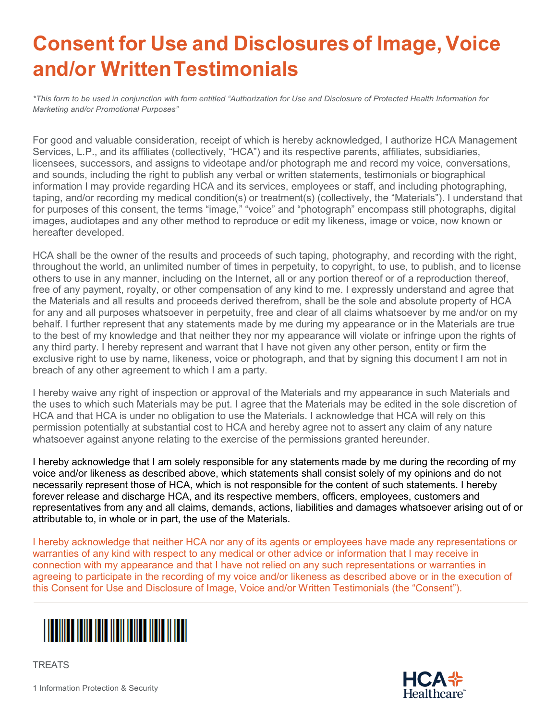## **Consent for Use and Disclosuresof Image, Voice and/or WrittenTestimonials**

*\*This form to be used in conjunction with form entitled "Authorization for Use and Disclosure of Protected Health Information for Marketing and/or Promotional Purposes"*

For good and valuable consideration, receipt of which is hereby acknowledged, I authorize HCA Management Services, L.P., and its affiliates (collectively, "HCA") and its respective parents, affiliates, subsidiaries, licensees, successors, and assigns to videotape and/or photograph me and record my voice, conversations, and sounds, including the right to publish any verbal or written statements, testimonials or biographical information I may provide regarding HCA and its services, employees or staff, and including photographing, taping, and/or recording my medical condition(s) or treatment(s) (collectively, the "Materials"). I understand that for purposes of this consent, the terms "image," "voice" and "photograph" encompass still photographs, digital images, audiotapes and any other method to reproduce or edit my likeness, image or voice, now known or hereafter developed.

HCA shall be the owner of the results and proceeds of such taping, photography, and recording with the right, throughout the world, an unlimited number of times in perpetuity, to copyright, to use, to publish, and to license others to use in any manner, including on the Internet, all or any portion thereof or of a reproduction thereof, free of any payment, royalty, or other compensation of any kind to me. I expressly understand and agree that the Materials and all results and proceeds derived therefrom, shall be the sole and absolute property of HCA for any and all purposes whatsoever in perpetuity, free and clear of all claims whatsoever by me and/or on my behalf. I further represent that any statements made by me during my appearance or in the Materials are true to the best of my knowledge and that neither they nor my appearance will violate or infringe upon the rights of any third party. I hereby represent and warrant that I have not given any other person, entity or firm the exclusive right to use by name, likeness, voice or photograph, and that by signing this document I am not in breach of any other agreement to which I am a party.

I hereby waive any right of inspection or approval of the Materials and my appearance in such Materials and the uses to which such Materials may be put. I agree that the Materials may be edited in the sole discretion of HCA and that HCA is under no obligation to use the Materials. I acknowledge that HCA will rely on this permission potentially at substantial cost to HCA and hereby agree not to assert any claim of any nature whatsoever against anyone relating to the exercise of the permissions granted hereunder.

I hereby acknowledge that I am solely responsible for any statements made by me during the recording of my voice and/or likeness as described above, which statements shall consist solely of my opinions and do not necessarily represent those of HCA, which is not responsible for the content of such statements. I hereby forever release and discharge HCA, and its respective members, officers, employees, customers and representatives from any and all claims, demands, actions, liabilities and damages whatsoever arising out of or attributable to, in whole or in part, the use of the Materials.

I hereby acknowledge that neither HCA nor any of its agents or employees have made any representations or warranties of any kind with respect to any medical or other advice or information that I may receive in connection with my appearance and that I have not relied on any such representations or warranties in agreeing to participate in the recording of my voice and/or likeness as described above or in the execution of this Consent for Use and Disclosure of Image, Voice and/or Written Testimonials (the "Consent").



**TREATS** 



1 Information Protection & Security